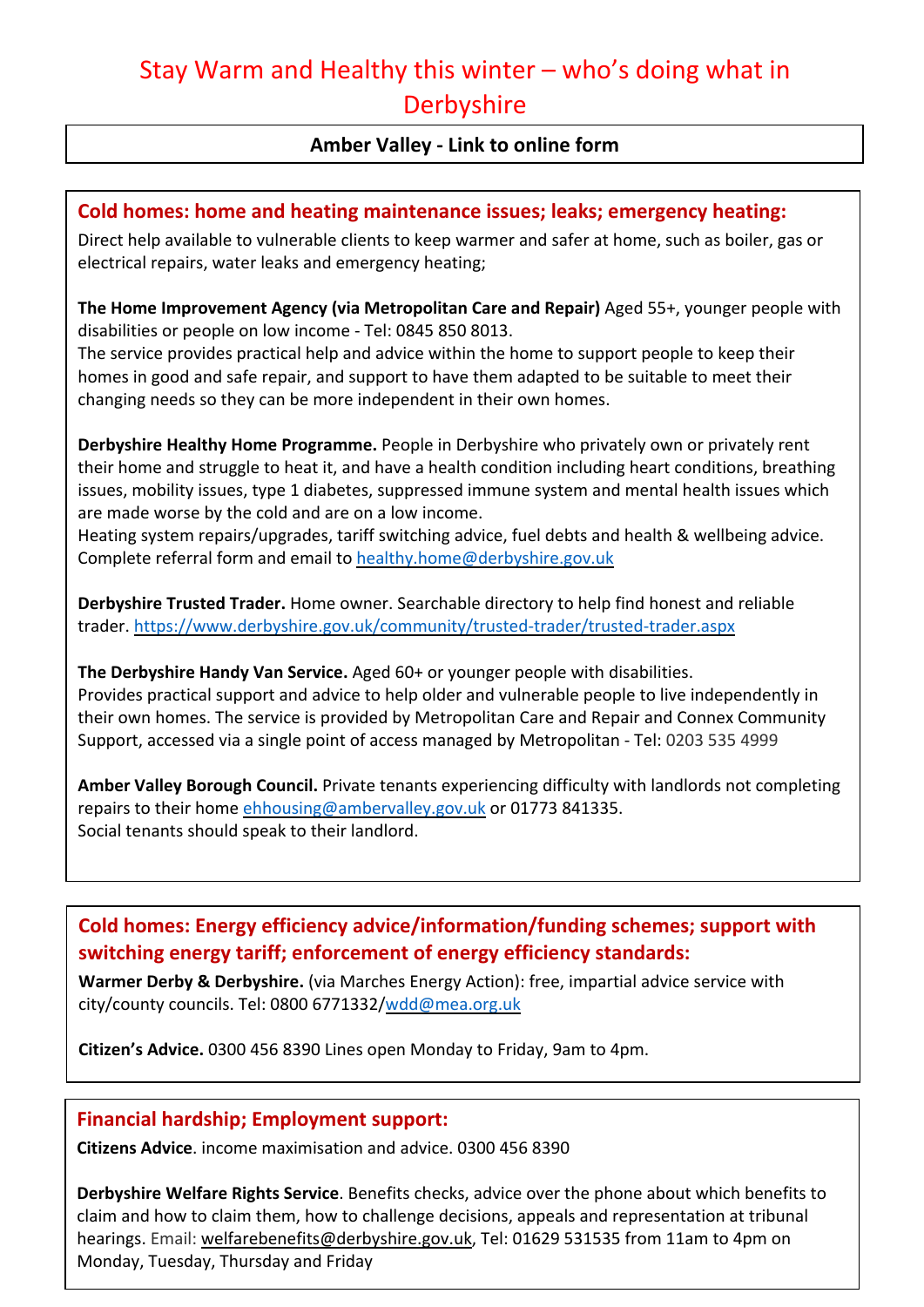# Stay Warm and Healthy this winter – who's doing what in **Derbyshire**

## **Amber Valley - Link to online form**

#### **Cold homes: home and heating maintenance issues; leaks; emergency heating:**

Direct help available to vulnerable clients to keep warmer and safer at home, such as boiler, gas or electrical repairs, water leaks and emergency heating;

**The Home Improvement Agency (via Metropolitan Care and Repair)** Aged 55+, younger people with disabilities or people on low income - Tel: 0845 850 8013.

The service provides practical help and advice within the home to support people to keep their homes in good and safe repair, and support to have them adapted to be suitable to meet their changing needs so they can be more independent in their own homes.

**Derbyshire Healthy Home Programme.** People in Derbyshire who privately own or privately rent their home and struggle to heat it, and have a health condition including heart conditions, breathing issues, mobility issues, type 1 diabetes, suppressed immune system and mental health issues which are made worse by the cold and are on a low income.

Heating system repairs/upgrades, tariff switching advice, fuel debts and health & wellbeing advice. Complete referral form and email to healthy.home@derbyshire.gov.uk

**Derbyshire Trusted Trader.** Home owner. Searchable directory to help find honest and reliable trader. https://www.derbyshire.gov.uk/community/trusted-trader/trusted-trader.aspx

**The Derbyshire Handy Van Service.** Aged 60+ or younger people with disabilities. Provides practical support and advice to help older and vulnerable people to live independently in their own homes. The service is provided by Metropolitan Care and Repair and Connex Community Support, accessed via a single point of access managed by Metropolitan - Tel: 0203 535 4999

**Amber Valley Borough Council.** Private tenants experiencing difficulty with landlords not completing repairs to their home ehhousing@ambervalley.gov.uk or 01773 841335. Social tenants should speak to their landlord.

# **Cold homes: Energy efficiency advice/information/funding schemes; support with switching energy tariff; enforcement of energy efficiency standards:**

**Warmer Derby & Derbyshire.** (via Marches Energy Action): free, impartial advice service with city/county councils. Tel: 0800 6771332/wdd@mea.org.uk

**Citizen's Advice.** 0300 456 8390 Lines open Monday to Friday, 9am to 4pm.

#### **Financial hardship; Employment support:**

**Citizens Advice**. income maximisation and advice. 0300 456 8390

**Derbyshire Welfare Rights Service**. Benefits checks, advice over the phone about which benefits to claim and how to claim them, how to challenge decisions, appeals and representation at tribunal hearings. Email: welfarebenefits@derbyshire.gov.uk, Tel: 01629 531535 from 11am to 4pm on Monday, Tuesday, Thursday and Friday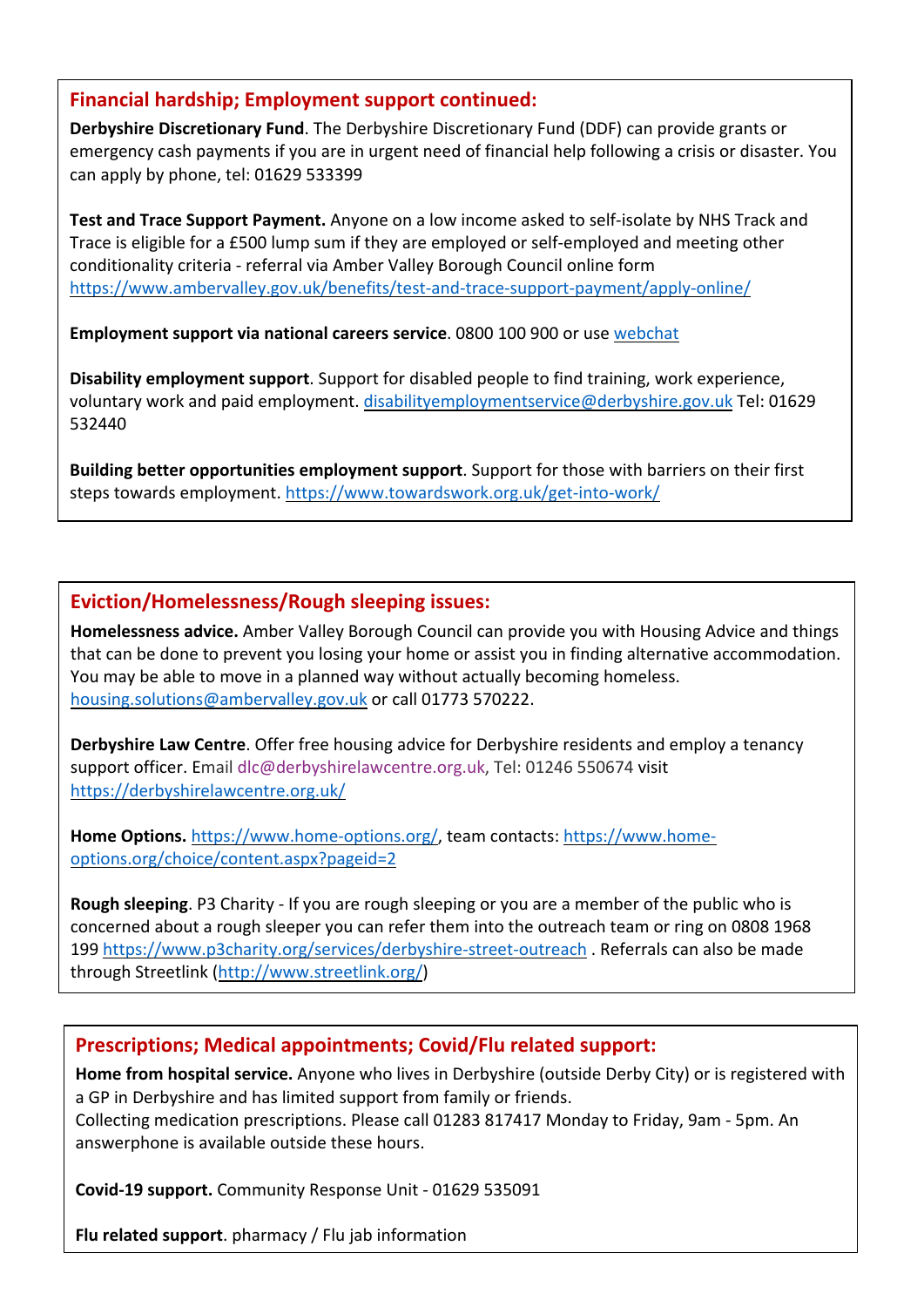#### **Financial hardship; Employment support continued:**

**Derbyshire Discretionary Fund**. The Derbyshire Discretionary Fund (DDF) can provide grants or emergency cash payments if you are in urgent need of financial help following a crisis or disaster. You can apply by phone, tel: 01629 533399

**Test and Trace Support Payment.** Anyone on a low income asked to self-isolate by NHS Track and Trace is eligible for a £500 lump sum if they are employed or self-employed and meeting other conditionality criteria - referral via Amber Valley Borough Council online form https://www.ambervalley.gov.uk/benefits/test-and-trace-support-payment/apply-online/

**Employment support via national careers service**. 0800 100 900 or use webchat

**Disability employment support**. Support for disabled people to find training, work experience, voluntary work and paid employment. disabilityemploymentservice@derbyshire.gov.uk Tel: 01629 532440

**Building better opportunities employment support**. Support for those with barriers on their first steps towards employment. https://www.towardswork.org.uk/get-into-work/

# **Eviction/Homelessness/Rough sleeping issues:**

**Homelessness advice.** Amber Valley Borough Council can provide you with Housing Advice and things that can be done to prevent you losing your home or assist you in finding alternative accommodation. You may be able to move in a planned way without actually becoming homeless. housing.solutions@ambervalley.gov.uk or call 01773 570222.

**Derbyshire Law Centre**. Offer free housing advice for Derbyshire residents and employ a tenancy support officer. Email dlc@derbyshirelawcentre.org.uk, Tel: 01246 550674 visit https://derbyshirelawcentre.org.uk/

**Home Options.** https://www.home-options.org/, team contacts: https://www.homeoptions.org/choice/content.aspx?pageid=2

**Rough sleeping**. P3 Charity - If you are rough sleeping or you are a member of the public who is concerned about a rough sleeper you can refer them into the outreach team or ring on 0808 1968 199 https://www.p3charity.org/services/derbyshire-street-outreach . Referrals can also be made through Streetlink (http://www.streetlink.org/)

# **Prescriptions; Medical appointments; Covid/Flu related support:**

**Home from hospital service.** Anyone who lives in Derbyshire (outside Derby City) or is registered with a GP in Derbyshire and has limited support from family or friends.

Collecting medication prescriptions. Please call 01283 817417 Monday to Friday, 9am - 5pm. An answerphone is available outside these hours.

**Covid-19 support.** Community Response Unit - 01629 535091

**Flu related support**. pharmacy / Flu jab information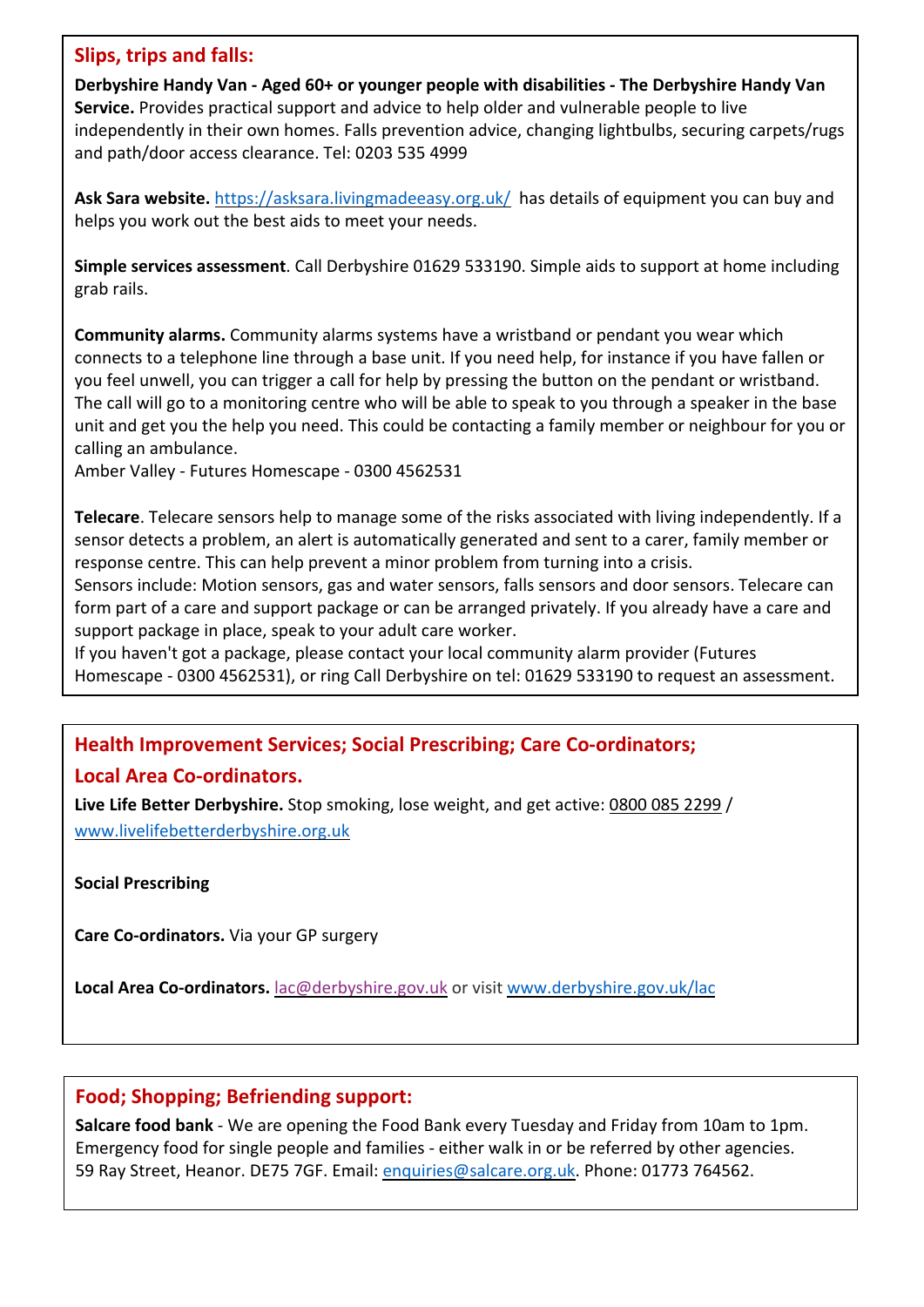#### **Slips, trips and falls:**

**Derbyshire Handy Van - Aged 60+ or younger people with disabilities - The Derbyshire Handy Van Service.** Provides practical support and advice to help older and vulnerable people to live independently in their own homes. Falls prevention advice, changing lightbulbs, securing carpets/rugs and path/door access clearance. Tel: 0203 535 4999

**Ask Sara website.** https://asksara.livingmadeeasy.org.uk/ has details of equipment you can buy and helps you work out the best aids to meet your needs.

**Simple services assessment**. Call Derbyshire 01629 533190. Simple aids to support at home including grab rails.

**Community alarms.** Community alarms systems have a wristband or pendant you wear which connects to a telephone line through a base unit. If you need help, for instance if you have fallen or you feel unwell, you can trigger a call for help by pressing the button on the pendant or wristband. The call will go to a monitoring centre who will be able to speak to you through a speaker in the base unit and get you the help you need. This could be contacting a family member or neighbour for you or calling an ambulance.

Amber Valley - Futures Homescape - 0300 4562531

**Telecare**. Telecare sensors help to manage some of the risks associated with living independently. If a sensor detects a problem, an alert is automatically generated and sent to a carer, family member or response centre. This can help prevent a minor problem from turning into a crisis.

Sensors include: Motion sensors, gas and water sensors, falls sensors and door sensors. Telecare can form part of a care and support package or can be arranged privately. If you already have a care and support package in place, speak to your adult care worker.

If you haven't got a package, please contact your local community alarm provider (Futures Homescape - 0300 4562531), or ring Call Derbyshire on tel: 01629 533190 to request an assessment.

# **Health Improvement Services; Social Prescribing; Care Co-ordinators;**

#### **Local Area Co-ordinators.**

**Live Life Better Derbyshire.** Stop smoking, lose weight, and get active: 0800 085 2299 / www.livelifebetterderbyshire.org.uk

**Social Prescribing**

**Care Co-ordinators.** Via your GP surgery

**Local Area Co-ordinators.** lac@derbyshire.gov.uk or visit www.derbyshire.gov.uk/lac

# **Food; Shopping; Befriending support:**

**Salcare food bank** - We are opening the Food Bank every Tuesday and Friday from 10am to 1pm. Emergency food for single people and families - either walk in or be referred by other agencies. 59 Ray Street, Heanor. DE75 7GF. Email: enquiries@salcare.org.uk. Phone: 01773 764562.